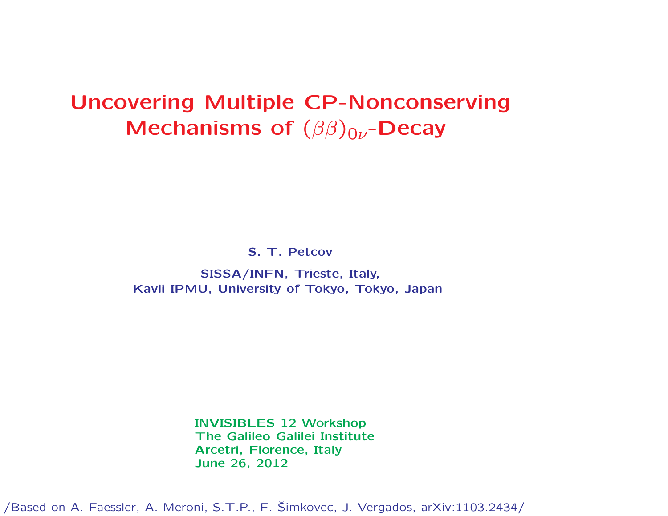# Uncovering Multiple CP-Nonconserving Mechanisms of  $(\beta\beta)_{0\nu}$ -Decay

S. T. Petcov

SISSA/INFN, Trieste, Italy, Kavli IPMU, University of Tokyo, Tokyo, Japan

> INVISIBLES 12 Workshop The Galileo Galilei Institute Arcetri, Florence, Italy June 26, 2012

/Based on A. Faessler, A. Meroni, S.T.P., F. Simkovec, J. Vergados, arXiv:1103.2434/ <sup>ˇ</sup>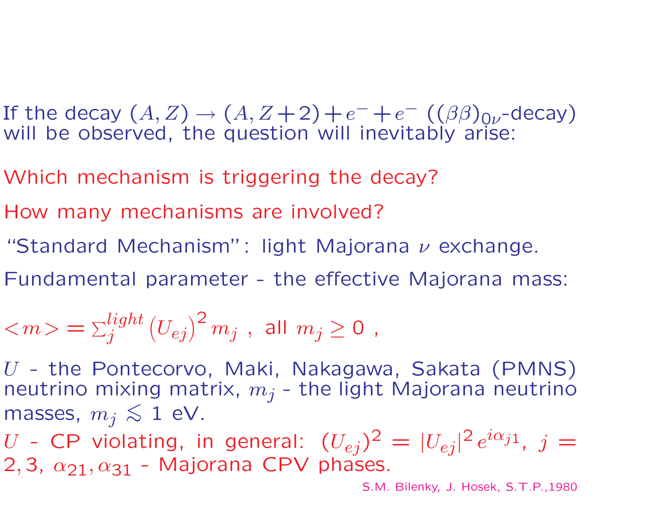If the decay  $(A, Z) \rightarrow (A, Z+2)+e^-+e^ ((\beta\beta)_{0\nu}$ -decay) will be observed, the question will inevitably arise:

Which mechanism is triggering the decay?

How many mechanisms are involved?

"Standard Mechanism": light Majorana  $\nu$  exchange.

Fundamental parameter - the effective Majorana mass:

$$
<\!m\!> = \Sigma^{light}_j \left(U_{ej}\right)^2 m_j \; , \; \text{all}\; m_j \geq 0 \; ,
$$

U - the Pontecorvo, Maki, Nakagawa, Sakata (PMNS) neutrino mixing matrix,  $m_j$  - the light Majorana neutrino masses,  $m_j \lesssim 1$  eV.

U - CP violating, in general:  $(U_{ej})^2 = |U_{ei}|^2 e^{i\alpha_{j1}}$ ,  $j =$ 2, 3,  $\alpha_{21}, \alpha_{31}$  - Majorana CPV phases.

S.M. Bilenky, J. Hosek, S.T.P.,1980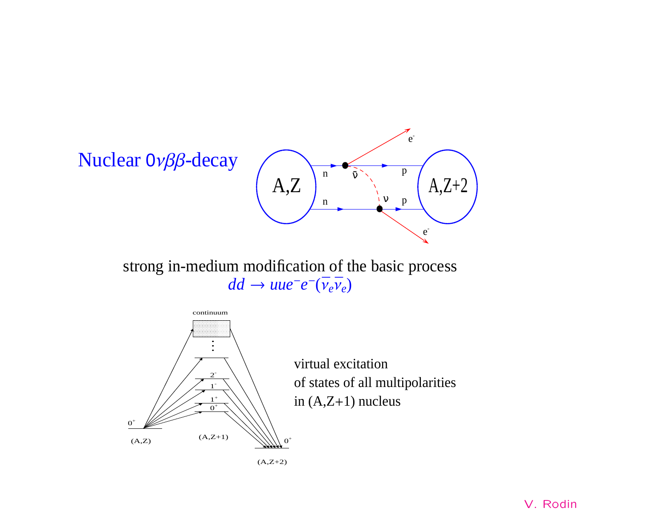

strong in-medium modification of the basic process  $dd \rightarrow uue^-e^-(\bar{v}_e\bar{v}_e)$ 



 $\overline{a}$  virtual excitation<br>of states of all multipolarities in  $(A,Z+1)$  nucleus

 $(A,Z+2)$ 

V. Rodin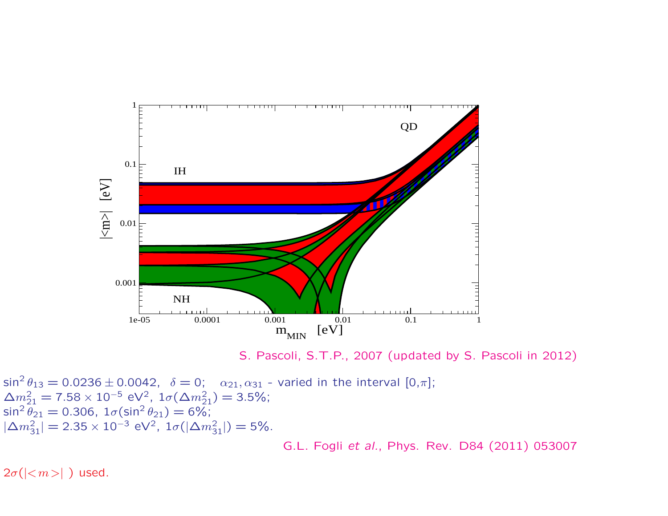

S. Pascoli, S.T.P., 2007 (updated by S. Pascoli in 2012)

 $\sin^2\theta_{13}=0.0236\pm0.0042,\;\;\delta=0;\;\;\;\alpha_{21},\alpha_{31}$  - varied in the interval  $[0,\pi];$  $\Delta m_{21}^2 = 7.58 \times 10^{-5} \text{ eV}^2$ ,  $1\sigma(\Delta m_{21}^2) = 3.5\%$ ; sin $^2\theta_{21} =$  0.306, 1 $\sigma(\sin^2\theta_{21}) =$  6%;  $|\Delta m_{3}^{2}|$  $\frac{2}{31}| = 2.35 \times 10^{-3} \text{ eV}^2$ ,  $1\sigma(|\Delta m_3^2)$  $_{31}^{2}$ |) = 5%.

G.L. Fogli et al., Phys. Rev. D84 (2011) 053007

 $2\sigma(|<\!m\!>|\,)$  used.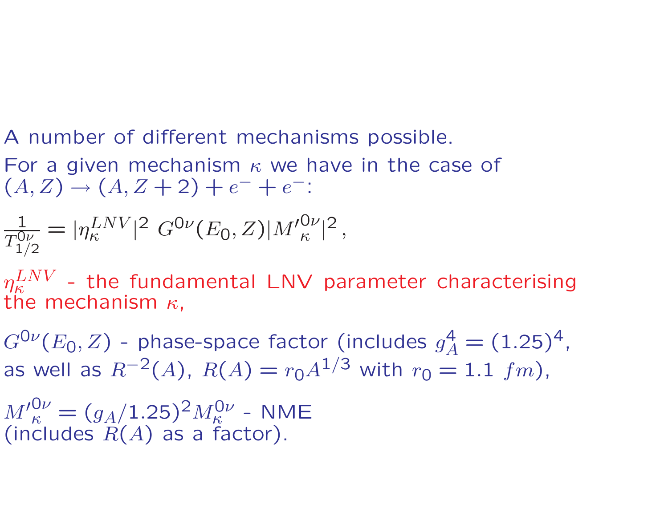#### A number of different mechanisms possible. For a given mechanism  $\kappa$  we have in the case of  $(A, Z) \rightarrow (A, Z + 2) + e$  $- + e^{-}$

$$
\frac{1}{T_{1/2}^{0\nu}} = |\eta_{\kappa}^{LNV}|^2 G^{0\nu}(E_0, Z)|M_{\kappa}^{0\nu}|^2,
$$

 $\eta^{LNV}_{\kappa}$  - the fundamental LNV parameter characterising the mechanism  $\kappa$ ,

 $G^{\mathsf{O}\nu}(E_{\mathsf{O}},Z)$  - phase-space factor (includes  $g$  $_{A}^{4}=(1.25)^{4}$ , as well as  $R^{-2}(A)$ ,  $R(A)=r_0 A^{1/3}$  with  $r_0=1.1\,\,fm)$ ,

 ${M'}_{\kappa}^{\rm O\nu} = (g_A/1.25)^2 M_{\kappa}^{\rm O\nu}$  - NME (includes  $R(A)$  as a factor).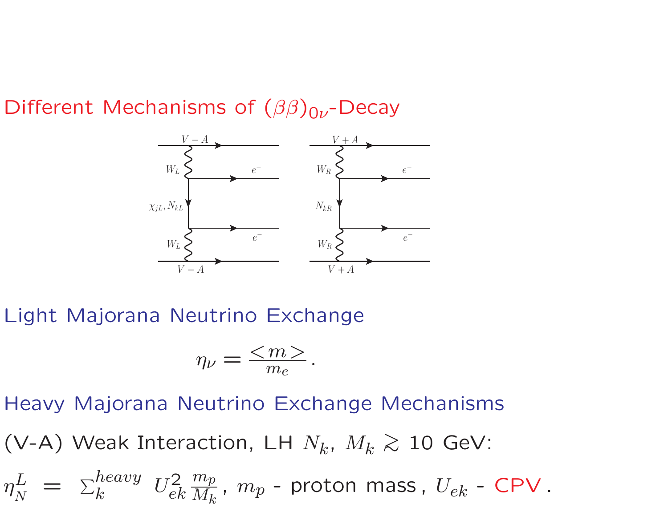Different Mechanisms of  $(\beta\beta)_{0\nu}$ -Decay



Light Majorana Neutrino Exchange

$$
\eta_{\nu} = \frac{}{m_e}.
$$

Heavy Majorana Neutrino Exchange Mechanisms (V-A) Weak Interaction, LH  $N_k$ ,  $M_k \gtrsim 10$  GeV:  $\eta$ L N  $= \sum_{k}^{heavy} U_{el}^2$ ek  $m_{\bar{p}}$  $M_{\bm{k}}$ ,  $m_p$  - proton mass,  $U_{ek}$  - CPV.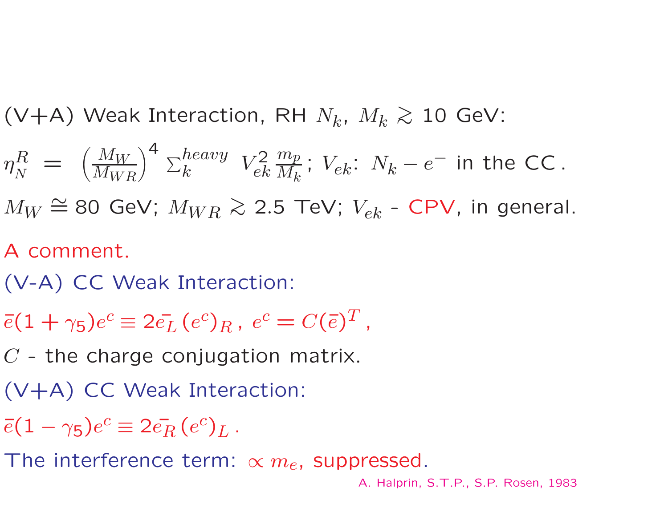(V+A) Weak Interaction, RH  $N_k$ ,  $M_k \gtrsim 10$  GeV:

$$
\eta_N^R \; = \; \left( \frac{M_W}{M_{WR}} \right)^4 \; \Sigma_k^{heavy} \; V_{ek}^2 \frac{m_p}{M_k}; \; V_{ek} : \; N_k - e^- \; \text{in the CC} \, .
$$

 $M_W \stackrel{\sim}{=} 80$  GeV;  $M_{WR} \gtrsim 2.5$  TeV;  $V_{ek}$  - CPV, in general.

# A comment.

- (V-A) CC Weak Interaction:
- $\bar{e}(1+\gamma_5)e^c\equiv 2\bar{e_L}\,(e^c)_R$  ,  $\,e^c=C(\bar{e})^T$ ,

 $C$  - the charge conjugation matrix.

- (V+A) CC Weak Interaction:
- $\bar{e}(1-\gamma_5)e^c \equiv 2\bar{e_R}\,(e^c)_L$  .

The interference term:  $\propto m_e$ , suppressed.

A. Halprin, S.T.P., S.P. Rosen, 1983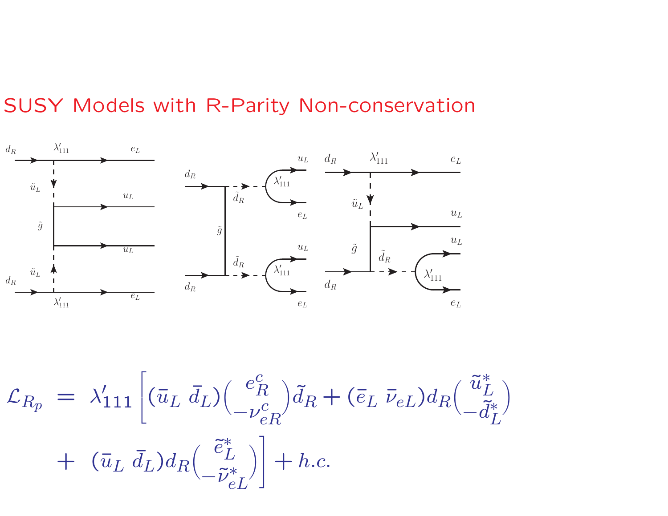# SUSY Models with R-Parity Non-conservation



$$
\mathcal{L}_{R_p} = \lambda'_{111} \left[ (\bar{u}_L \, \bar{d}_L) \left( \begin{array}{c} e_R^c \\ -\nu_{eR}^c \end{array} \right) \tilde{d}_R + (\bar{e}_L \, \bar{\nu}_{eL}) d_R \left( \begin{array}{c} \tilde{u}_L^* \\ -\tilde{d}_L^* \end{array} \right) + (\bar{u}_L \, \bar{d}_L) d_R \left( \begin{array}{c} \tilde{e}_L^* \\ -\tilde{\nu}_{eL}^* \end{array} \right) \right] + h.c.
$$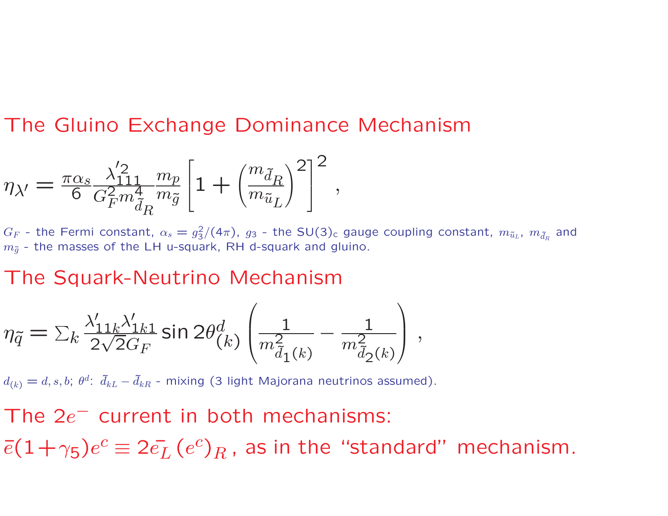### The Gluino Exchange Dominance Mechanism

$$
\eta_{\lambda^\prime} = \tfrac{\pi \alpha_s}{6} \tfrac{\lambda^\prime_{111}}{G_F^2 m_{\tilde{d}_R}^4 m_{\tilde{g}}} \left[1 + \left(\tfrac{m_{\tilde{d}_R}}{m_{\tilde{u}_L}}\right)^2\right]^2 \,,
$$

 $G_F$  - the Fermi constant,  $\alpha_s = g_3^2$  $\frac{2}{3}/(4\pi)$ ,  $g_3$  - the SU(3)<sub>c</sub> gauge coupling constant,  $m_{\tilde{u}_L}$ ,  $m_{\tilde{d}_R}$  and  $m_{\tilde{q}}$  - the masses of the LH u-squark, RH d-squark and gluino.

#### The Squark-Neutrino Mechanism

$$
\eta_{\tilde{q}} = \sum_{k} \frac{\lambda'_{11k} \lambda'_{1k1}}{2\sqrt{2}G_F} \sin 2\theta_{(k)}^d \left( \frac{1}{m_{\tilde{d}_1(k)}^2} - \frac{1}{m_{\tilde{d}_2(k)}^2} \right),
$$

 $d_{(k)}=d,s,b; \; \theta^d{:\;} \; \tilde{d}_{kL}-\tilde{d}_{kR}$  - mixing (3 light Majorana neutrinos assumed).

The  $2e^-$  current in both mechanisms:  $\bar{e}(1+\gamma_5)e^c \equiv 2 \bar{e_L}\, (e^c)_R$  , as in the "standard" mechanism.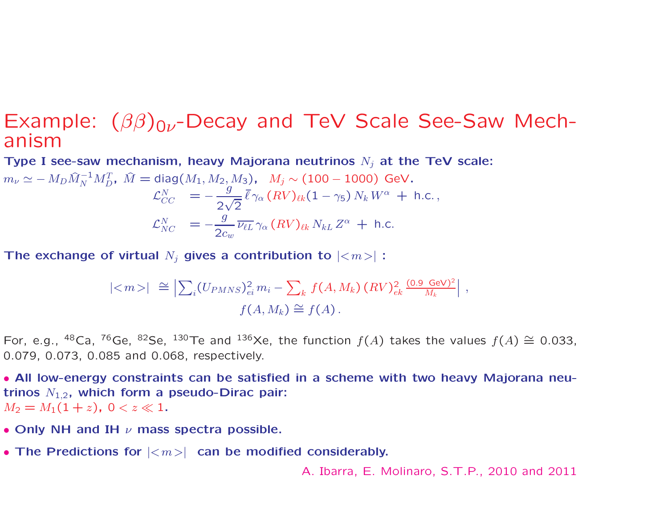#### Example:  $(\beta\beta)_{0\nu}$ -Decay and TeV Scale See-Saw Mechanism

Type I see-saw mechanism, heavy Majorana neutrinos  $N_i$  at the TeV scale:

$$
m_{\nu} \simeq -M_D \hat{M}_N^{-1} M_D^T, \ \hat{M} = \text{diag}(M_1, M_2, M_3), \ \ M_j \sim (100 - 1000) \text{ GeV}.
$$
  

$$
\mathcal{L}_{CC}^N = -\frac{g}{2\sqrt{2}} \bar{\ell} \gamma_\alpha (RV)_{\ell k} (1 - \gamma_5) N_k W^\alpha + \text{h.c.},
$$
  

$$
\mathcal{L}_{NC}^N = -\frac{g}{2c_w} \overline{\nu_{\ell L}} \gamma_\alpha (RV)_{\ell k} N_{kL} Z^\alpha + \text{h.c.}
$$

The exchange of virtual  $N_i$  gives a contribution to  $|<sub>m</sub>>|$ :

$$
|\langle m \rangle| \cong \left| \sum_{i} (U_{PMNS})_{ei}^{2} m_{i} - \sum_{k} f(A, M_{k}) (RV)_{ek}^{2} \frac{(0.9 \text{ GeV})^{2}}{M_{k}} \right|,
$$
  

$$
f(A, M_{k}) \cong f(A).
$$

For, e.g., <sup>48</sup>Ca, <sup>76</sup>Ge, <sup>82</sup>Se, <sup>130</sup>Te and <sup>136</sup>Xe, the function  $f(A)$  takes the values  $f(A) \cong 0.033$ , 0.079, 0.073, 0.085 and 0.068, respectively.

• All low-energy constraints can be satisfied in <sup>a</sup> scheme with two heavy Majorana neutrinos  $N_{1,2}$ , which form a pseudo-Dirac pair:  $M_2 = M_1(1+z)$ ,  $0 < z \ll 1$ .

- Only NH and IH  $\nu$  mass spectra possible.
- The Predictions for  $|\langle m \rangle|$  can be modified considerably.

A. Ibarra, E. Molinaro, S.T.P., 2010 and 2011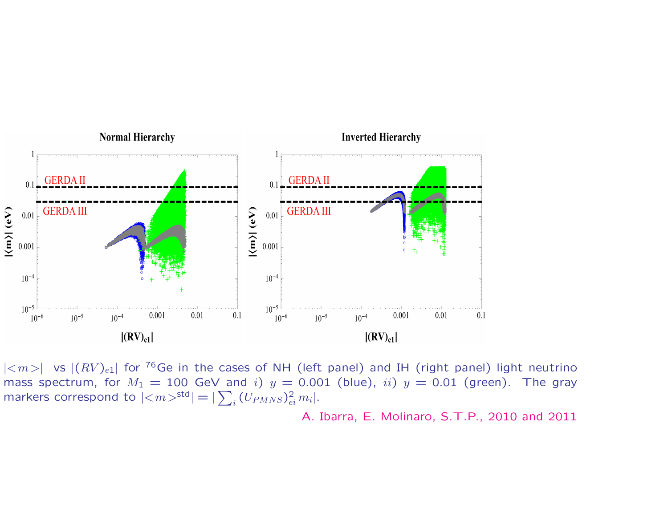

 $|\langle m\rangle|$  vs  $|(RV)_{e1}|$  for <sup>76</sup>Ge in the cases of NH (left panel) and IH (right panel) light neutrino mass spectrum, for  $M_1 = 100$  GeV and i)  $y = 0.001$  (blue), ii)  $y = 0.01$  (green). The gray markers correspond to  $|\langle m \rangle^{\text{std}}| = |\sum_i (U_{PMNS})_{ei}^2 m_i|.$ 

A. Ibarra, E. Molinaro, S.T.P., 2010 and 2011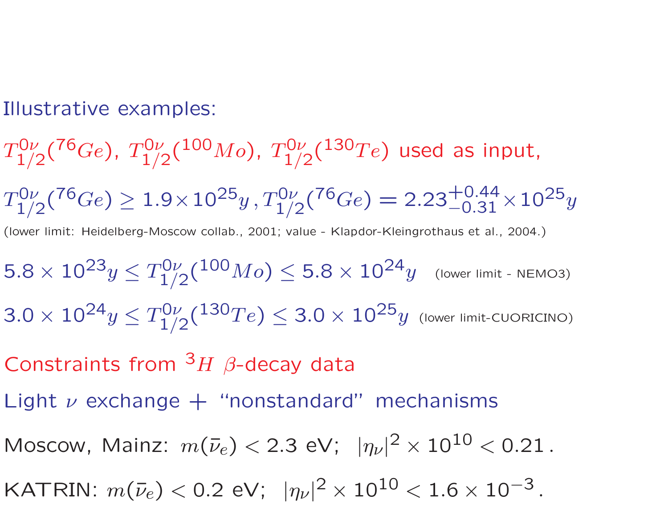Illustrative examples:

 $T_{1/2}^{0\nu}({}^{76}Ge)$ ,  $T_{1/2}^{0\nu}({}^{100}Mo)$ ,  $T_{1/2}^{0\nu}({}^{130}Te)$  used as input,  $T_{1/2}^{0\nu}({}^{76}Ge) \geq 1.9 \times 10^{25}y$ ,  $T_{1/2}^{0\nu}({}^{76}Ge) = 2.23^{+0.44}_{-0.31} \times 10^{25}y$ (lower limit: Heidelberg-Moscow collab., 2001; value - Klapdor-Kleingrothaus et al., 2004.)  $5.8 \times 10^{23} y \le T_{1/2}^{0\nu}({}^{100}Mo) \le 5.8 \times 10^{24} y$  (lower limit - NEMO3)  $3.0 \times 10^{24} y \le T_{1/2}^{0\nu}({}^{130}Te) \le 3.0 \times 10^{25} y$  (lower limit-CUORICINO) Constraints from  $3H$   $\beta$ -decay data Light  $\nu$  exchange  $+$  "nonstandard" mechanisms Moscow, Mainz:  $m(\bar{\nu}_e) < 2.3 \text{ eV}; ~ |\eta_{\nu}|^2 \times 10^{10} < 0.21$ . KATRIN:  $m(\bar{\nu}_e)$  < 0.2 eV;  $|\eta_{\nu}|^2 \times 10^{10}$  < 1.6  $\times$  10<sup>-3</sup>.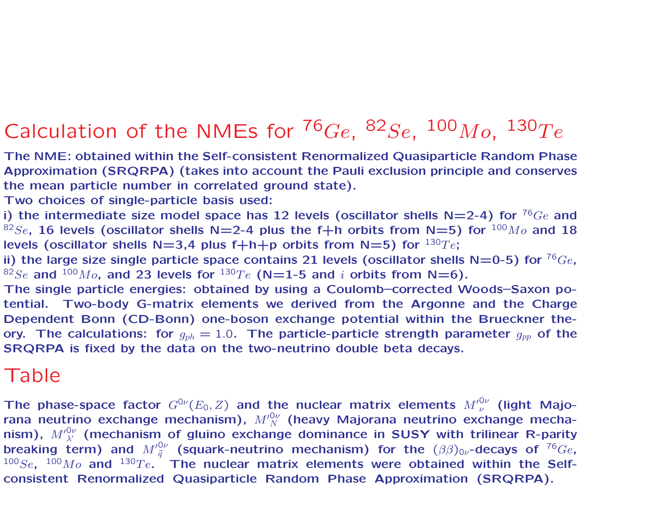# Calculation of the NMEs for  $^{76}Ge$ ,  $^{82}Se$ ,  $^{100}Mo$ ,  $^{130}Te$

The NME: obtained within the Self-consistent Renormalized Quasiparticle Random Phase Approximation (SRQRPA) (takes into account the Pauli exclusion principle and conserves the mean particle number in correlated ground state).

Two choices of single-particle basis used:

i) the intermediate size model space has 12 levels (oscillator shells  $N=2-4$ ) for  $^{76}Ge$  and <sup>82</sup>Se, 16 levels (oscillator shells N=2-4 plus the f+h orbits from N=5) for  $^{100}Mo$  and 18 levels (oscillator shells  $N=3,4$  plus f+h+p orbits from N=5) for  $^{130}Te$ ;

ii) the large size single particle space contains 21 levels (oscillator shells  $N=0-5$ ) for  $^{76}Ge$ , <sup>82</sup>Se and <sup>100</sup>M<sub>o</sub>, and 23 levels for <sup>130</sup>Te (N=1-5 and *i* orbits from N=6).

The single particle energies: obtained by using <sup>a</sup> Coulomb–corrected Woods–Saxon potential. Two-body G-matrix elements we derived from the Argonne and the Charge Dependent Bonn (CD-Bonn) one-boson exchange potential within the Brueckner theory. The calculations: for  $g_{ph}=1.0$ . The particle-particle strength parameter  $g_{pp}$  of the SRQRPA is fixed by the data on the two-neutrino double beta decays.

#### Table

The phase-space factor  $G^{0\nu}(E_0,Z)$  and the nuclear matrix elements  ${M'}_\nu^{0\nu}$  (light Majorana neutrino exchange mechanism),  $M^{\prime 0\nu}_{\ N}$  (heavy Majorana neutrino exchange mechanism),  ${M'}_{\lambda'}^{0\nu}$  (mechanism of gluino exchange dominance in SUSY with trilinear R-parity breaking term) and  ${M'}^{\rm 0\nu}_{\tilde{q}}$  (squark-neutrino mechanism) for the  $(\beta\beta)_{0\nu}$ -decays of  $^{76}Ge$ ,  $100Se$ ,  $100Mo$  and  $130Te$ . The nuclear matrix elements were obtained within the Selfconsistent Renormalized Quasiparticle Random Phase Approximation (SRQRPA).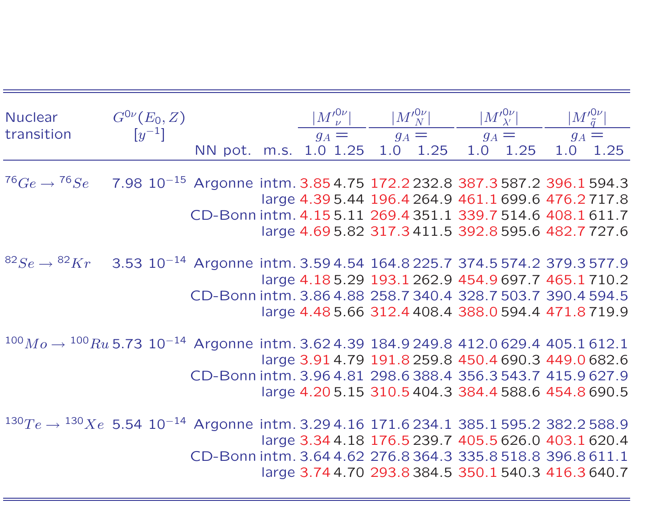| Nuclear                                                                                                       | $G^{0\nu}(E_0,Z)$     |                                                             |         |         | $ M^{\prime 0\nu}_{\;\nu}  \qquad \quad  M^{\prime 0\nu}_{\;\;N} $ |         | $ M^{\prime 0\nu}_{\ \lambda^{\prime}} $ |     | $ M'^{\mathsf{O}\nu}_{\ \widetilde q} $             |
|---------------------------------------------------------------------------------------------------------------|-----------------------|-------------------------------------------------------------|---------|---------|--------------------------------------------------------------------|---------|------------------------------------------|-----|-----------------------------------------------------|
| transition                                                                                                    | $\left[y^{-1}\right]$ |                                                             | $g_A =$ | $g_A =$ |                                                                    | $g_A =$ |                                          |     | $g_A =$                                             |
|                                                                                                               |                       | NN pot. m.s. 1.0 1.25                                       |         |         | 1.0 1.25                                                           | 1.0     | 1.25                                     | 1.0 | 1.25                                                |
| $^{76}Ge \rightarrow ^{76}Se$ 7.98 $10^{-15}$ Argonne intm. 3.85 4.75 172.2 232.8 387.3 587.2 396.1 594.3     |                       |                                                             |         |         |                                                                    |         |                                          |     | large 4.39 5.44 196.4 264.9 461.1 699.6 476.2 717.8 |
|                                                                                                               |                       | CD-Bonn intm. 4.155.11 269.4 351.1 339.7 514.6 408.1 611.7  |         |         |                                                                    |         |                                          |     |                                                     |
|                                                                                                               |                       |                                                             |         |         |                                                                    |         |                                          |     | large 4.69 5.82 317.3 411.5 392.8 595.6 482.7 727.6 |
| ${}^{82}Se$ → ${}^{82}Kr$ 3.53 10 <sup>-14</sup> Argonne intm. 3.59 4.54 164.8 225.7 374.5 574.2 379.3 577.9  |                       |                                                             |         |         |                                                                    |         |                                          |     | large 4.185.29 193.1 262.9 454.9 697.7 465.1 710.2  |
|                                                                                                               |                       | CD-Bonn intm. 3.86 4.88 258.7 340.4 328.7 503.7 390.4 594.5 |         |         |                                                                    |         |                                          |     | large 4.48 5.66 312.4 408.4 388.0 594.4 471.8 719.9 |
|                                                                                                               |                       |                                                             |         |         |                                                                    |         |                                          |     |                                                     |
| $100Mo \rightarrow 100Ru$ 5.73 $10^{-14}$ Argonne intm. 3.62 4.39 184.9 249.8 412.0 629.4 405.1 612.1         |                       |                                                             |         |         |                                                                    |         |                                          |     | large 3.91 4.79 191.8 259.8 450.4 690.3 449.0 682.6 |
|                                                                                                               |                       | CD-Bonn intm. 3.96 4.81 298.6 388.4 356.3 543.7 415.9 627.9 |         |         |                                                                    |         |                                          |     |                                                     |
|                                                                                                               |                       |                                                             |         |         |                                                                    |         |                                          |     | large 4.205.15 310.5 404.3 384.4 588.6 454.8 690.5  |
| $1^{30}Te \rightarrow$ $1^{30}Xe$ 5.54 $10^{-14}$ Argonne intm. 3.29 4.16 171.6 234.1 385.1 595.2 382.2 588.9 |                       |                                                             |         |         |                                                                    |         |                                          |     | large 3.34 4.18 176.5 239.7 405.5 626.0 403.1 620.4 |
|                                                                                                               |                       | CD-Bonn intm. 3.64 4.62 276.8 364.3 335.8 518.8 396.8 611.1 |         |         |                                                                    |         |                                          |     | large 3.74 4.70 293.8 384.5 350.1 540.3 416.3 640.7 |
|                                                                                                               |                       |                                                             |         |         |                                                                    |         |                                          |     |                                                     |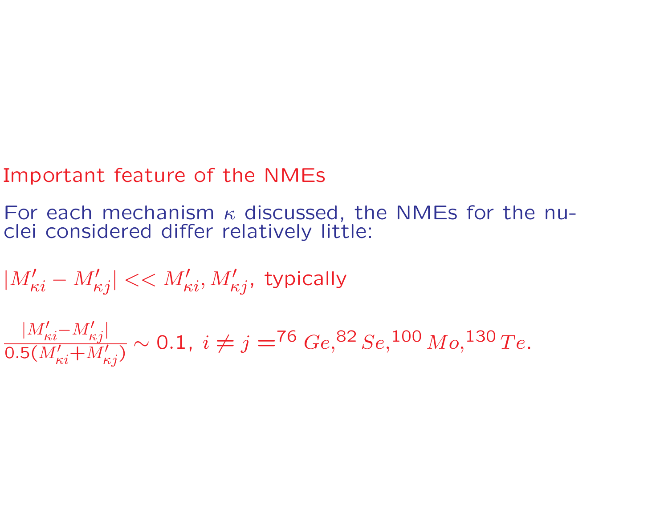# Important feature of the NMEs

For each mechanism  $\kappa$  discussed, the NMEs for the nuclei considered differ relatively little:

 $|M'_\kappa$  $\kappa i$  $- M'$  $|\mathscr{C}_{\kappa j}| << M'_{\kappa i}, M'_{\kappa j},$  typically

 $|M'_{\kappa i} {-} M'_{\kappa j}$ |  $0.5(M_{\kappa i}^{\prime} \!+\! M_{\kappa j}^{\prime})$  $\sim 0.1, \; i \neq j = ^{76}Ge, ^{82}Se, ^{100}Mo, ^{130}Te.$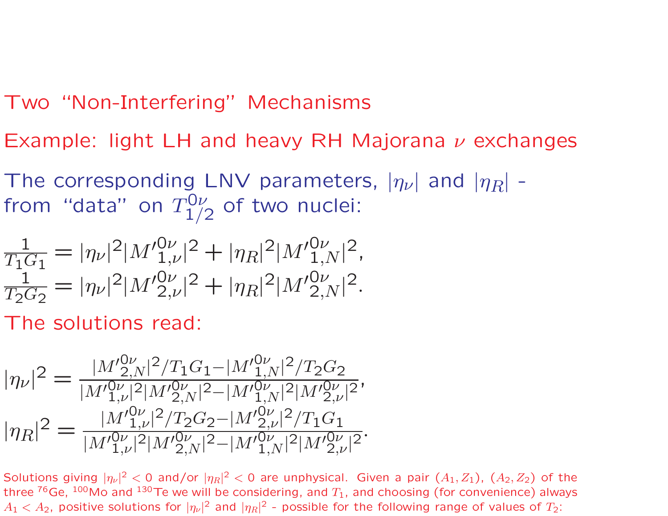# Two "Non-Interfering" Mechanisms

Example: light LH and heavy RH Majorana  $\nu$  exchanges

The corresponding LNV parameters,  $|\eta_\nu|$  and  $|\eta_R|$  from "data" on  $T_1^{\mathsf{O}\nu}$  $j_{1/2}^{\mathsf{U} \nu}$  of two nuclei:

$$
\frac{1}{T_1 G_1} = |\eta_{\nu}|^2 |M'_{1,\nu}|^2 + |\eta_R|^2 |M'_{1,N}^{0\nu}|^2,
$$
  

$$
\frac{1}{T_2 G_2} = |\eta_{\nu}|^2 |M'_{2,\nu}|^2 + |\eta_R|^2 |M'_{2,N}^{0\nu}|^2.
$$

The solutions read:

$$
|\eta_{\nu}|^2 = \frac{|M'^{0\nu}_{2,N}|^2/T_1G_1 - |M'^{0\nu}_{1,N}|^2/T_2G_2}{|M'^{0\nu}_{1,\nu}|^2|M'^{0\nu}_{2,N}|^2 - |M'^{0\nu}_{1,N}|^2|M'^{0\nu}_{2,\nu}|^2},
$$
  

$$
|\eta_R|^2 = \frac{|M'^{0\nu}_{1,\nu}|^2/T_2G_2 - |M'^{0\nu}_{2,\nu}|^2/T_1G_1}{|M'^{0\nu}_{1,\nu}|^2|M'^{0\nu}_{2,N}|^2 - |M'^{0\nu}_{1,N}|^2|M'^{0\nu}_{2,\nu}|^2}.
$$

Solutions giving  $|\eta_\nu|^2 <$  0 and/or  $|\eta_R|^2 <$  0 are unphysical. Given a pair  $(A_1,Z_1)$ ,  $(A_2,Z_2)$  of the three  $^{76}$ Ge,  $^{100}$ Mo and  $^{130}$ Te we will be considering, and  $T_1$ , and choosing (for convenience) always  $A_1 < A_2$ , positive solutions for  $|\eta_\nu|^2$  and  $|\eta_R|^2$  - possible for the following range of values of  $T_2$ :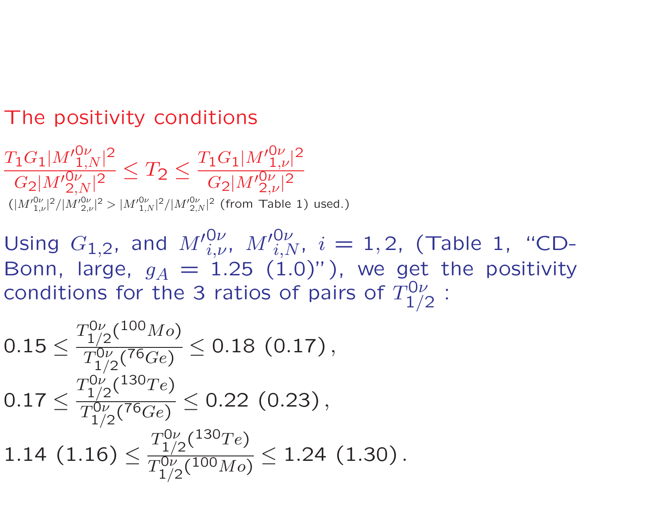# The positivity conditions

 $T_1G_1|M'^{0\nu}_{1,N}|^2$  $\frac{\Gamma^{\rm O} \Gamma^{\rm [IV-1,N]}}{G_2 |M^{\prime}{}_{2,N}^{\rm O}\gamma|^2} \leq T_2 \leq$  $T_1G_1|M'^{\mathsf{O}\nu}_{1..l}$  $1,\!\nu$ | 2  $G_2|M'^{0\nu}_{2,l}$  $2,\!\nu$ | 2  $(|{M^\prime}_{1,{\scriptscriptstyle I}}^{0\nu}$  $1,\!\nu$ |  $^{2}/|M^{\prime}_{~2,l}^{0\nu}$  $_{2,\nu}$ |  $^2 > |{M'}_{1,N}^{0\nu}|^2/|{M'}_{2,N}^{0\nu}|^2$  (from Table 1) used.)

Using  $G_{1,2}$ , and  ${M'}_{i,\nu}^{0\nu}$  $_{i,\nu}^{0\nu},\;M'{}_{i,N}^{0\nu},\;i=1,2,\;$  (Table 1, "CD-Bonn, large,  $g_A\,=\,1.25\,$   $(1.0)"$  ), we get the positivity conditions for the 3 ratios of pairs of  $T_1^{\mathsf{O}\nu}$  $1/2$ :

$$
0.15 \le \frac{T_{1/2}^{0\nu}(^{100}Mo)}{T_{1/2}^{0\nu}(^{76}Ge)} \le 0.18 (0.17),
$$
  

$$
0.17 \le \frac{T_{1/2}^{0\nu}(^{130}Te)}{T_{1/2}^{0\nu}(^{76}Ge)} \le 0.22 (0.23),
$$
  

$$
1.14 (1.16) \le \frac{T_{1/2}^{0\nu}(^{130}Te)}{T_{1/2}^{0\nu}(^{100}Mo)} \le 1.24 (1.30).
$$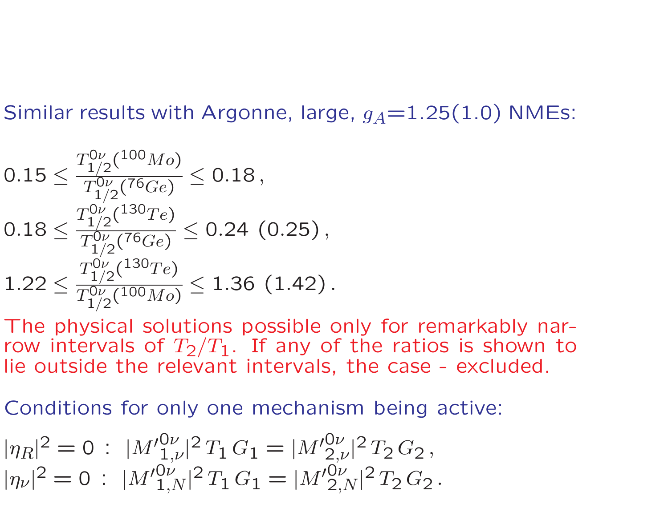Similar results with Argonne, large,  $g_A{=}1.25(1.0)$  NMEs:

$$
0.15 \le \frac{T_{1/2}^{0\nu}(^{100}Mo)}{T_{1/2}^{0\nu}(^{76}Ge)} \le 0.18,
$$
  

$$
0.18 \le \frac{T_{1/2}^{0\nu}(^{130}Te)}{T_{1/2}^{0\nu}(^{76}Ge)} \le 0.24
$$
 (0.25),  

$$
1.22 \le \frac{T_{1/2}^{0\nu}(^{130}Te)}{T_{1/2}^{0\nu}(^{130}Mo)} \le 1.36
$$
 (1.42).

The physical solutions possible only for remarkably narrow intervals of  $T_2/T_1.$  If any of the ratios is shown to lie outside the relevant intervals, the case - excluded.

Conditions for only one mechanism being active:

$$
|\eta_R|^2 = 0 : |M'_{1,\nu}^{0\nu}|^2 T_1 G_1 = |M'_{2,\nu}^{0\nu}|^2 T_2 G_2,
$$
  

$$
|\eta_{\nu}|^2 = 0 : |M'_{1,N}^{0\nu}|^2 T_1 G_1 = |M'_{2,N}^{0\nu}|^2 T_2 G_2.
$$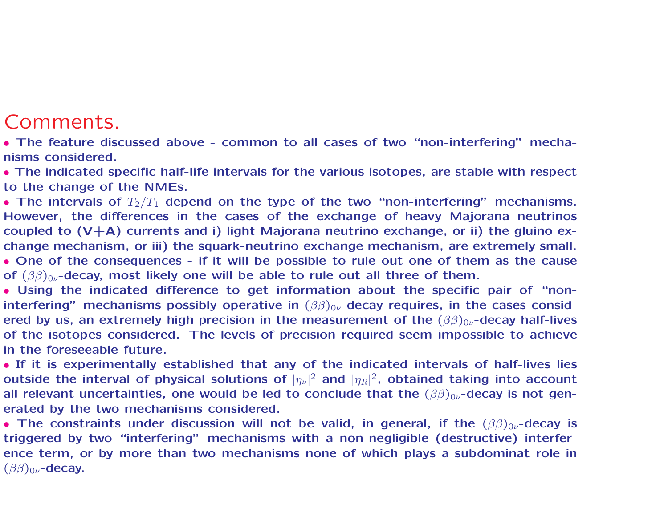### Comments.

• The feature discussed above - common to all cases of two "non-interfering" mechanisms considered.

• The indicated specific half-life intervals for the various isotopes, are stable with respect to the change of the NMEs.

• The intervals of  $T_2/T_1$  depend on the type of the two "non-interfering" mechanisms. However, the differences in the cases of the exchange of heavy Majorana neutrinos coupled to  $(V+A)$  currents and i) light Majorana neutrino exchange, or ii) the gluino exchange mechanism, or iii) the squark-neutrino exchange mechanism, are extremely small.

• One of the consequences - if it will be possible to rule out one of them as the cause of  $(\beta\beta)_{0\nu}$ -decay, most likely one will be able to rule out all three of them.

• Using the indicated difference to get information about the specific pair of "noninterfering" mechanisms possibly operative in  $(\beta\beta)_{0\nu}$ -decay requires, in the cases considered by us, an extremely high precision in the measurement of the  $(\beta\beta)_{0\nu}$ -decay half-lives of the isotopes considered. The levels of precision required seem impossible to achieve in the foreseeable future.

• If it is experimentally established that any of the indicated intervals of half-lives lies outside the interval of physical solutions of  $|\eta_\nu|^2$  and  $|\eta_R|^2$ , obtained taking into account all relevant uncertainties, one would be led to conclude that the  $(\beta\beta)_{0\nu}$ -decay is not generated by the two mechanisms considered.

• The constraints under discussion will not be valid, in general, if the  $(\beta\beta)_{0\nu}$ -decay is triggered by two "interfering" mechanisms with <sup>a</sup> non-negligible (destructive) interference term, or by more than two mechanisms none of which plays <sup>a</sup> subdominat role in  $(\beta\beta)_{0\nu}$ -decay.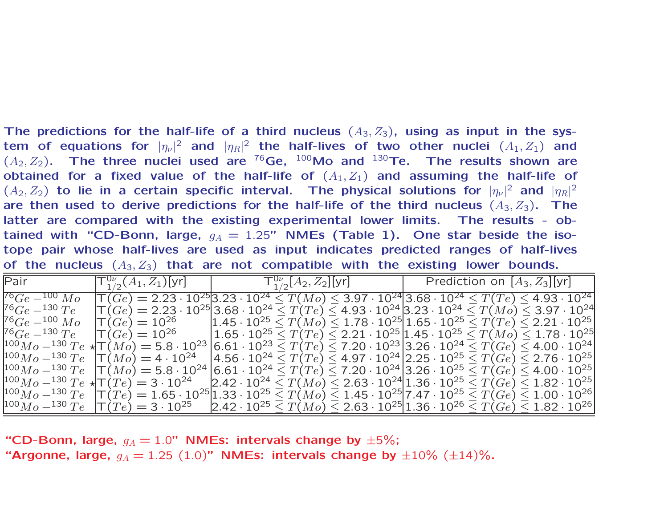The predictions for the half-life of a third nucleus  $(A_3, Z_3)$ , using as input in the system of equations for  $|\eta_\nu|^2$  and  $|\eta_R|^2$  the half-lives of two other nuclei  $(A_1, Z_1)$  and  $(A_2,Z_2)$ . The three nuclei used are <sup>76</sup>Ge,  $^{100}$ Mo and  $^{130}$ Te. The results shown are obtained for a fixed value of the half-life of  $(A_1, Z_1)$  and assuming the half-life of  $(A_2,Z_2)$  to lie in a certain specific interval. The physical solutions for  $|\eta_\nu|^2$  and  $|\eta_R|^2$ are then used to derive predictions for the half-life of the third nucleus  $(A_3, Z_3)$ . The latter are compared with the existing experimental lower limits. The results - obtained with "CD-Bonn, large,  $g_A = 1.25$ " NMEs (Table 1). One star beside the isotope pair whose half-lives are used as input indicates predicted ranges of half-lives of the nucleus  $(A_3, Z_3)$  that are not compatible with the existing lower bounds.

| Pair                                                                                                                                                                                            | $\mathsf{T}^{\mathsf{U}\nu}_{\mathsf{1}/\mathsf{2}}(A_1,Z_1)$ [yr]                                                                                                         |  |  | ${\sf T}_{1/2}^{0\nu}[A_2,Z_2][{\sf yr}]$ |  |  | Prediction on $[A_3, Z_3]$ [yr]                                                                                                                   |  |
|-------------------------------------------------------------------------------------------------------------------------------------------------------------------------------------------------|----------------------------------------------------------------------------------------------------------------------------------------------------------------------------|--|--|-------------------------------------------|--|--|---------------------------------------------------------------------------------------------------------------------------------------------------|--|
| $^{76}Ge-^{100}Mo$                                                                                                                                                                              | $\overline{\mathrm{T}}(Ge) = 2.23 \cdot 10^{25}$ 3.23 · $10^{24} \leq T(Mo) \leq 3.97 \cdot 10^{24}$ 3.68 · $10^{24} \leq T(Te) \leq 4.93 \cdot 10^{24}$                   |  |  |                                           |  |  |                                                                                                                                                   |  |
| $76 Ge - 130 Te$                                                                                                                                                                                | $\mathcal{T}(Ge) = 2.23 \cdot 10^{25}$ 3.68 $\cdot$ 10 $^{24}$ $\leq T(Te) \leq$ 4.93 $\cdot$ 10 $^{24}$ 3.23 $\cdot$ 10 $^{24}$ $\leq T(Mo) \leq$ 3.97 $\cdot$ 10 $^{24}$ |  |  |                                           |  |  |                                                                                                                                                   |  |
| $76 Ge - 100 Mo$                                                                                                                                                                                | $\Gamma(Ge) = 10^{26}$                                                                                                                                                     |  |  |                                           |  |  | $ 1.45 \cdot 10^{25} \le T(M_0) \le 1.78 \cdot 10^{25} 1.65 \cdot 10^{25} \le T(T_e) \le 2.21 \cdot 10^{25} $                                     |  |
| $76 Ge - 130 Te$                                                                                                                                                                                | $\mathsf{T}(Ge) = 10^{26}$                                                                                                                                                 |  |  |                                           |  |  | $\vert 1.65 \cdot 10^{25} \leq T(Te) \leq 2.21 \cdot 10^{25} \vert 1.45 \cdot 10^{25} \leq T(Mo) \leq 1.78 \cdot 10^{25} \vert$                   |  |
| $1^{100}Mo - 1^{30}Te + \mathcal{T}(Mo) = 5.8 \cdot 10^{23}$                                                                                                                                    |                                                                                                                                                                            |  |  |                                           |  |  | $ 6.61 \cdot 10^{23} \le T(Te) \le 7.20 \cdot 10^{23} $ 3.26 $\cdot$ 10 $^{24} \le T(Ge) \le 4.00 \cdot 10^{24} $                                 |  |
| $100M_0 - 130Te$ $\Gamma(M_0) = 4.10^{24}$                                                                                                                                                      |                                                                                                                                                                            |  |  |                                           |  |  | $\left  4.56 \cdot 10^{24} \leq T(Te) \leq 4.97 \cdot 10^{24} \right $ 2.25 $\cdot$ 10 $^{25}$ $\leq T(Ge) \leq$ 2.76 $\cdot$ $10^{25}$ $\right $ |  |
| $\vert^{100}Mo^{-130}Te\ \ \vert T(\overline{M}o)=5.8\cdot10^{24}\,\vert 6.61\cdot10^{24} \leq T(Te) \leq 7.20\cdot10^{24}\,\vert 3.26\cdot10^{25} \leq T(Ge) \leq 4.00\cdot10^{25}\,\vert$     |                                                                                                                                                                            |  |  |                                           |  |  |                                                                                                                                                   |  |
| $\vert^{100}Mo^{-130}Te\,\star\!\! \tau(\overline{T}e)=3\cdot10^{24}\;\;\;\;\;$ $\vert2.42\cdot10^{24}\leq T(Mo)\leq 2.63\cdot10^{24}\vert1.36\cdot10^{25}\leq T(Ge)\leq 1.82\cdot10^{25}\vert$ |                                                                                                                                                                            |  |  |                                           |  |  |                                                                                                                                                   |  |
| $\vert^{100}Mo^{-130}Te\ \ \vert T(\overline{T}e)=1.65\cdot10^{25}\vert1.33\cdot10^{25} \leq T(Mo) \leq 1.45\cdot10^{25}\vert7.47\cdot10^{25} \leq T(Ge) \leq 1.00\cdot10^{26}\vert$            |                                                                                                                                                                            |  |  |                                           |  |  |                                                                                                                                                   |  |
| $ ^{100}Mo-^{130}Te\;\;\; \mathsf{T}(Te)=3\cdot10^{25}\;\;\;\;\; 2.42\cdot10^{25}\leq T(Mo)\leq 2.63\cdot10^{25} 1.36\cdot10^{26}\leq T(Ge)\leq 1.82\cdot10^{26} $                              |                                                                                                                                                                            |  |  |                                           |  |  |                                                                                                                                                   |  |

"CD-Bonn, large,  $g_A = 1.0$ " NMEs: intervals change by  $\pm 5\%$ ; "Argonne, large,  $g_A = 1.25\,\, (1.0)$ " NMEs: intervals change by  $\pm 10\%$   $(\pm 14)\%$ .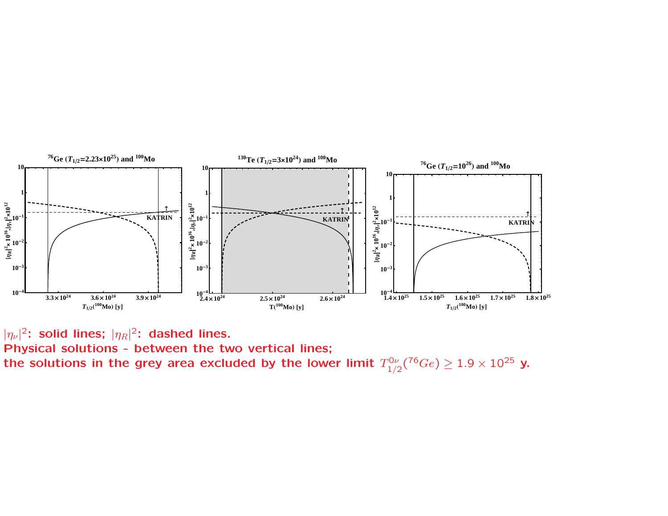

 $|\eta_{\nu}|^2$ : solid lines;  $|\eta_R|^2$ : dashed lines.

Physical solutions - between the two vertical lines; the solutions in the grey area excluded by the lower limit  $T_{1/2}^{0\nu}({}^{76}Ge) \geq 1.9 \times 10^{25}$  y.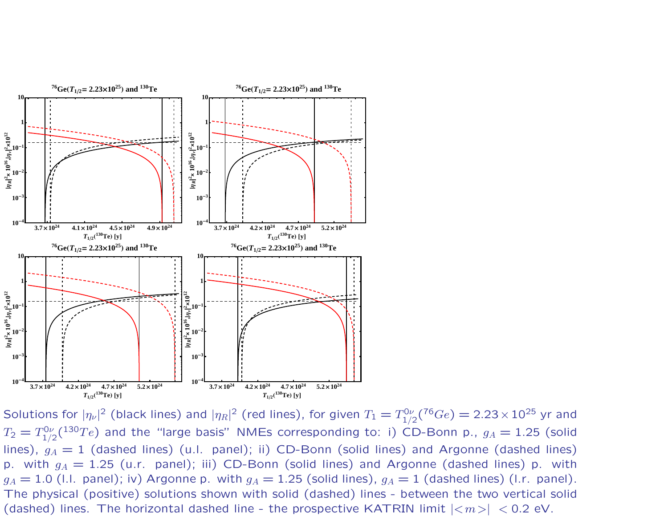

Solutions for  $|\eta_\nu|^2$  (black lines) and  $|\eta_R|^2$  (red lines), for given  $T_1 = T_{1/2}^{0\nu}({}^{76}Ge) = 2.23 \times 10^{25}$  yr and  $T_2 = T_{1/2}^{0\nu}(^{130}Te)$  and the "large basis" NMEs corresponding to: i) CD-Bonn p.,  $g_A = 1.25$  (solid lines),  $g_A = 1$  (dashed lines) (u.l. panel); ii) CD-Bonn (solid lines) and Argonne (dashed lines) p. with  $g_A = 1.25$  (u.r. panel); iii) CD-Bonn (solid lines) and Argonne (dashed lines) p. with  $g_A = 1.0$  (I.I. panel); iv) Argonne p. with  $g_A = 1.25$  (solid lines),  $g_A = 1$  (dashed lines) (I.r. panel). The physical (positive) solutions shown with solid (dashed) lines - between the two vertical solid (dashed) lines. The horizontal dashed line - the prospective KATRIN limit  $|\langle m \rangle|$  < 0.2 eV.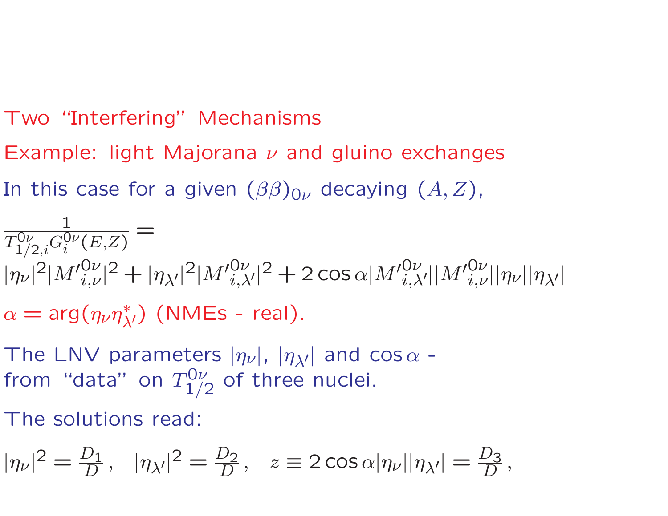# Two "Interfering" Mechanisms

- Example: light Majorana  $\nu$  and gluino exchanges
- In this case for a given  $(\beta\beta)_{0\nu}$  decaying  $(A,Z)$ ,

$$
\frac{1}{T_{1/2,i}^{0\nu}G_i^{0\nu}(E,Z)} = \frac{1}{|\eta_{\nu}|^2|M'_{i,\nu}^{0\nu}|^2 + |\eta_{\lambda'}|^2|M'_{i,\lambda'}^{0\nu}|^2 + 2\cos\alpha|M'_{i,\lambda'}^{0\nu}||M'_{i,\nu}^{0\nu}||\eta_{\nu}||\eta_{\lambda'}|}
$$
\n
$$
\alpha = \arg(\eta_{\nu}\eta_{\lambda'}^{*}) \text{ (NMEs - real)}.
$$

- The LNV parameters  $|\eta_\nu|$ ,  $|\eta_{\lambda'}|$  and  $\cos\alpha$  from "data" on  $T_1^{\mathsf{O}\nu}$  $j_{1/2}^{\prime\prime\prime}$  of three nuclei.
- The solutions read:

$$
|\eta_{\nu}|^2 = \frac{D_1}{D}, \quad |\eta_{\lambda'}|^2 = \frac{D_2}{D}, \quad z \equiv 2 \cos \alpha |\eta_{\nu}||\eta_{\lambda'}| = \frac{D_3}{D},
$$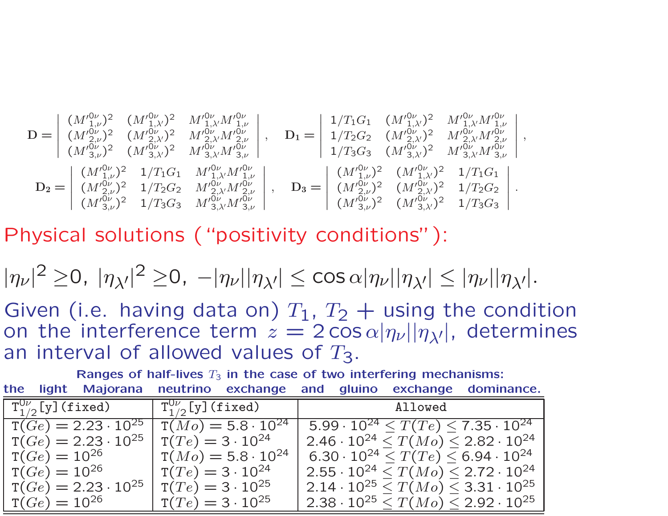$$
\mathbf{D} = \begin{vmatrix} (M'_{1,\nu}^{0\nu})^2 & (M'_{1,\lambda'}^{0\nu})^2 & M'_{1,\lambda'}^{0\nu} M'_{1,\nu}^{0\nu} \\ (M'_{2,\nu}^{0\nu})^2 & (M'_{2,\lambda'}^{0\nu})^2 & M'_{2,\lambda'}^{0\nu} M'_{2,\nu}^{0\nu} \\ (M'^{0\nu}_{3,\nu})^2 & (M'^{0\nu}_{3,\lambda'})^2 & M'_{3,\lambda'}^{0\nu} M'_{3,\nu}^{0\nu} \end{vmatrix}, \quad \mathbf{D}_1 = \begin{vmatrix} 1/T_1G_1 & (M'_{1,\lambda'}^{0\nu})^2 & M'_{1,\lambda'}^{0\nu} M'_{1,\nu}^{0\nu} \\ 1/T_2G_2 & (M'_{2,\lambda'}^{0\nu})^2 & M'_{2,\lambda'}^{0\nu} M'_{2,\nu}^{0\nu} \\ 1/T_3G_3 & (M'^{0\nu}_{3,\lambda'})^2 & M'_{3,\lambda'}^{0\nu} M'_{3,\nu}^{0\nu} \end{vmatrix}, \\ \mathbf{D}_2 = \begin{vmatrix} (M'^{0\nu})^2 & 1/T_1G_1 & M'_{1,\lambda'}M'_{1,\nu}^{0\nu} \\ (M'^{0\nu})^2 & 1/T_2G_2 & M'_{2,\lambda'}M'_{2,\nu}^{0\nu} \\ (M'^{0\nu})^2 & 1/T_3G_3 & M'_{3,\lambda'}M'_{3,\nu}^{0\nu} \end{vmatrix}, \quad \mathbf{D}_3 = \begin{vmatrix} (M'^{0\nu})^2 & (M'^{0\nu})^2 & 1/T_1G_1 \\ (M'^{0\nu})^2 & (M'^{0\nu})^2 & 1/T_2G_2 \\ (M'^{0\nu})^2 & (M'^{0\nu})^2 & 1/T_3G_3 \end{vmatrix}.
$$

Physical solutions ("positivity conditions"):

$$
|\eta_{\nu}|^2 \geq 0, \ |\eta_{\lambda'}|^2 \geq 0, \ -|\eta_{\nu}||\eta_{\lambda'}| \leq \cos \alpha |\eta_{\nu}||\eta_{\lambda'}| \leq |\eta_{\nu}||\eta_{\lambda'}|.
$$

Given (i.e. having data on)  $T_1$ ,  $T_2$   $+$  using the condition on the interference term  $z = 2 \cos \alpha |\eta_\nu||\eta_{\lambda'}|$ , determines an interval of allowed values of  $T_{3}$ .

|                                  | Ranges of half-lives $T_3$ in the case of two interfering mechanisms: |                                                                                                                                        |                                                         |  |
|----------------------------------|-----------------------------------------------------------------------|----------------------------------------------------------------------------------------------------------------------------------------|---------------------------------------------------------|--|
|                                  | the light Majorana neutrino exchange and gluino exchange dominance.   |                                                                                                                                        |                                                         |  |
| $\Gamma^{0\nu}_{1/2}$ [y](fixed) | $\int T^{0\nu}_{1/2} [y] (fixed)$                                     | $\mathbf{M} = \left\{ \begin{array}{ll} 0 & \text{if } \mathbf{M} \leq \mathbf{M} \leq \mathbf{M} \leq \mathbf{M} \end{array} \right.$ | Allowed                                                 |  |
| $T(Ge) = 2.23 \cdot 10^{25}$     |                                                                       | $T(Mo) = 5.8 \cdot 10^{24}$                                                                                                            | $5.99 \cdot 10^{24} \le T(T_e) \le 7.35 \cdot 10^{24}$  |  |
| $T(Ge) = 2.23 \cdot 10^{25}$     | $T(Te) = 3 \cdot 10^{24}$                                             |                                                                                                                                        | $2.46 \cdot 10^{24} \leq T(Mo) \leq 2.82 \cdot 10^{24}$ |  |
| $T(Ge) = 10^{26}$                |                                                                       | $T(Mo) = 5.8 \cdot 10^{24}$                                                                                                            | $6.30 \cdot 10^{24} \leq T(Te) \leq 6.94 \cdot 10^{24}$ |  |
| $T(Ge) = 10^{26}$                | $T(Te) = 3 \cdot 10^{24}$                                             |                                                                                                                                        | $2.55 \cdot 10^{24} \leq T(Mo) \leq 2.72 \cdot 10^{24}$ |  |
| $T(Ge) = 2.23 \cdot 10^{25}$     | $T(Te) = 3 \cdot 10^{25}$                                             |                                                                                                                                        | $2.14 \cdot 10^{25} \leq T(Mo) \leq 3.31 \cdot 10^{25}$ |  |
| $T(Ge) = 10^{26}$                | $T(Te) = 3 \cdot 10^{25}$                                             |                                                                                                                                        | $2.38 \cdot 10^{25} \le T(Mo) \le 2.92 \cdot 10^{25}$   |  |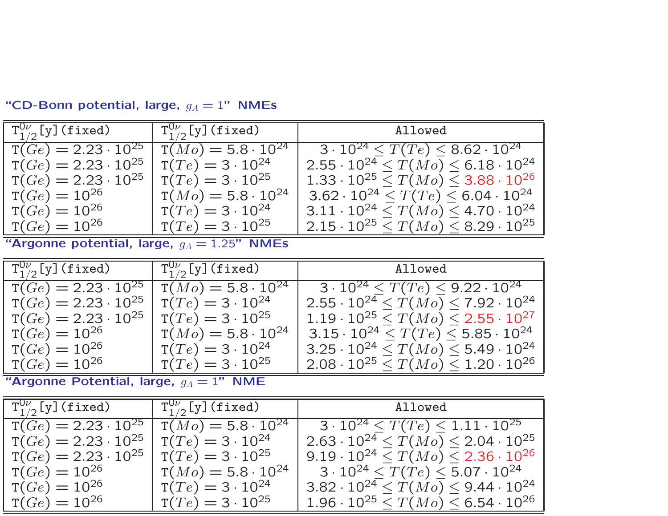| $\mathrm{T}_{1/2}^{0\nu}$ [y] (fixed) | $\mid \texttt{T}_{1/2}^{0\nu}[\texttt{y}](\texttt{fixed})$ | Allowed                                                 |
|---------------------------------------|------------------------------------------------------------|---------------------------------------------------------|
| $T(Ge) = 2.23 \cdot 10^{25}$          | $T(Mo) = 5.8 \cdot 10^{24}$                                | $3 \cdot 10^{24} \le T(Te) \le 8.62 \cdot 10^{24}$      |
| $T(Ge) = 2.23 \cdot 10^{25}$          | $T(Te) = 3 \cdot 10^{24}$                                  | $2.55 \cdot 10^{24} \leq T(Mo) \leq 6.18 \cdot 10^{24}$ |
| $T(Ge) = 2.23 \cdot 10^{25}$          | $T(Te) = 3 \cdot 10^{25}$                                  | $1.33 \cdot 10^{25} \leq T(Mo) \leq 3.88 \cdot 10^{26}$ |
| $T(Ge) = 10^{26}$                     | $T(Mo) = 5.8 \cdot 10^{24}$                                | $3.62 \cdot 10^{24} \leq T(Te) \leq 6.04 \cdot 10^{24}$ |
| $T(Ge) = 10^{26}$                     | $T(Te) = 3 \cdot 10^{24}$                                  | $3.11 \cdot 10^{24} \leq T(Mo) \leq 4.70 \cdot 10^{24}$ |
| $T(Ge) = 10^{26}$                     | $T(Te) = 3 \cdot 10^{25}$                                  | $2.15 \cdot 10^{25} \leq T(Mo) \leq 8.29 \cdot 10^{25}$ |

"CD-Bonn potential, large,  $g_A=1$ " NMEs

"Argonne potential, large,  $g_A = 1.25$ " NMEs

| $\mathrm{T}_{1/2}^{0\nu}$ [y](fixed) | $\int_1^{\Omega\nu} \Gamma^{0\nu}_{1/2} \left[ \mathrm{y} \right]$ (fixed) | Allowed                                                 |
|--------------------------------------|----------------------------------------------------------------------------|---------------------------------------------------------|
| $T(Ge) = 2.23 \cdot 10^{25}$         | $T(Mo) = 5.8 \cdot 10^{24}$                                                | $3 \cdot 10^{24} < T(Te) < 9.22 \cdot 10^{24}$          |
| $T(Ge) = 2.23 \cdot 10^{25}$         | $T(Te) = 3 \cdot 10^{24}$                                                  | $2.55 \cdot 10^{24} \leq T(Mo) \leq 7.92 \cdot 10^{24}$ |
| $T(Ge) = 2.23 \cdot 10^{25}$         | $T(Te) = 3 \cdot 10^{25}$                                                  | $1.19 \cdot 10^{25} \leq T(Mo) \leq 2.55 \cdot 10^{27}$ |
| $T(Ge) = 10^{26}$                    | $T(Mo) = 5.8 \cdot 10^{24}$                                                | $3.15 \cdot 10^{24} \leq T(Te) \leq 5.85 \cdot 10^{24}$ |
| $T(Ge) = 10^{26}$                    | $T(Te) = 3 \cdot 10^{24}$                                                  | $3.25 \cdot 10^{24} \leq T(Mo) \leq 5.49 \cdot 10^{24}$ |
| $T(Ge) = 10^{26}$                    | $T(Te) = 3 \cdot 10^{25}$                                                  | $2.08 \cdot 10^{25} \leq T(Mo) \leq 1.20 \cdot 10^{26}$ |

"Argonne Potential, large,  $g_A = 1$ " NME

| $T_{1/2}^{0\nu}$ [y] (fixed)                                 | $\mathrm{T}_{1/2}^{0\nu}[\mathrm{y}]$ (fixed)          | Allowed                                                                                                            |
|--------------------------------------------------------------|--------------------------------------------------------|--------------------------------------------------------------------------------------------------------------------|
| $T(Ge) = 2.23 \cdot 10^{25}$                                 | $T(Mo) = 5.8 \cdot 10^{24}$                            | $3 \cdot 10^{24} \le T(Te) \le 1.11 \cdot 10^{25}$                                                                 |
| $T(Ge) = 2.23 \cdot 10^{25}$<br>$T(Ge) = 2.23 \cdot 10^{25}$ | $T(Te) = 3 \cdot 10^{24}$<br>$T(Te) = 3 \cdot 10^{25}$ | $2.63 \cdot 10^{24} \leq T(Mo) \leq 2.04 \cdot 10^{25}$<br>$9.19 \cdot 10^{24} \leq T(Mo) \leq 2.36 \cdot 10^{26}$ |
| $T(Ge) = 10^{26}$                                            | $T(Mo) = 5.8 \cdot 10^{24}$                            | $3\cdot 10^{24} \leq T(Te) \leq 5.07\cdot 10^{24}$                                                                 |
| $T(Ge) = 10^{26}$                                            | $T(Te) = 3 \cdot 10^{24}$                              | $3.82 \cdot 10^{24} \le T(Mo) \le 9.44 \cdot 10^{24}$                                                              |
| $T(Ge) = 10^{26}$                                            | $T(Te) = 3 \cdot 10^{25}$                              | $1.96 \cdot 10^{25} \leq T(Mo) \leq 6.54 \cdot 10^{26}$                                                            |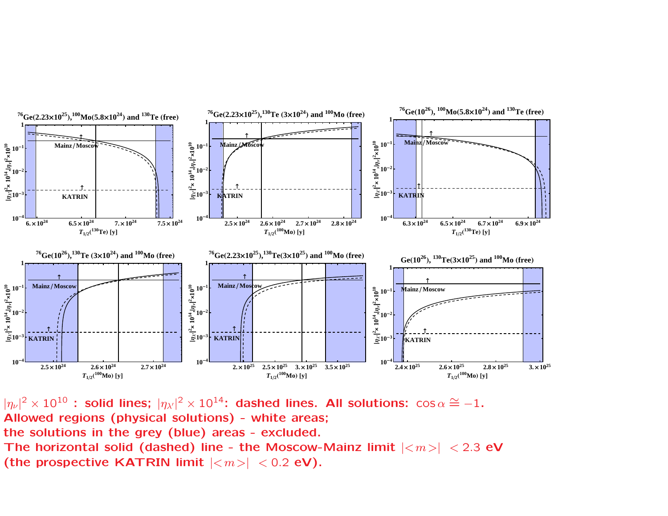

 $|\eta_\nu|^2 \times 10^{10}$  : solid lines;  $|\eta_{\lambda'}|^2 \times 10^{14}$ : dashed lines. All solutions:  $\cos \alpha \cong -1$ . Allowed regions (physical solutions) - white areas; the solutions in the grey (blue) areas - excluded. The horizontal solid (dashed) line - the Moscow-Mainz limit  $|<sub>m</sub>>|<sub>2.3</sub>$  eV (the prospective KATRIN limit  $|\langle m \rangle|$  < 0.2 eV).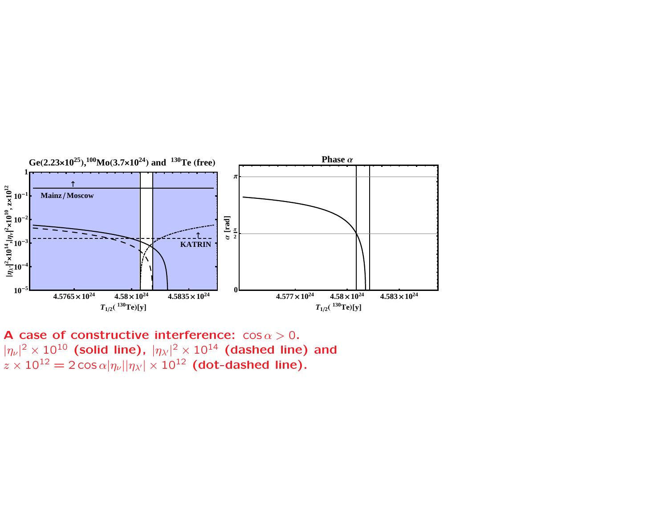

**A** case of constructive interference:  $\cos \alpha > 0$ .  $|\eta_\nu|^2 \times 10^{10}$  (solid line),  $|\eta_{\lambda'}|^2 \times 10^{14}$  (dashed line) and  $z\times 10^{12}=2\cos\alpha|\eta_\nu||\eta_{\lambda'}|\times 10^{12}$  (dot-dashed line).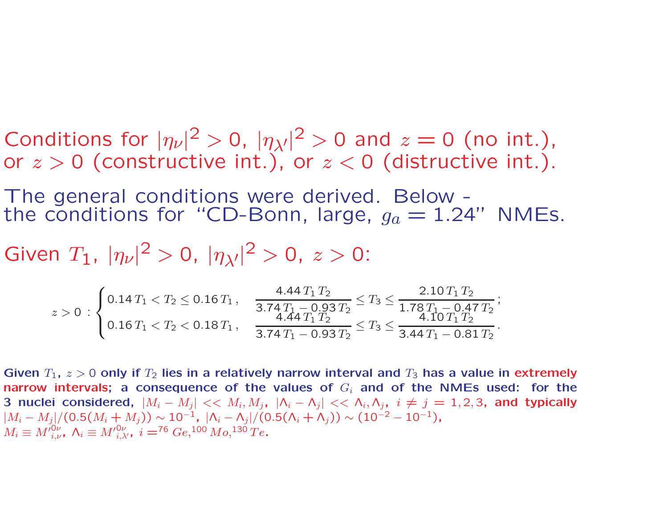Conditions for  $|\eta_{\nu}|^2 > 0$ ,  $|\eta_{\lambda'}|^2 > 0$  and  $z = 0$  (no int.), or  $z > 0$  (constructive int.), or  $z < 0$  (distructive int.).

The general conditions were derived. Below the conditions for "CD-Bonn, large,  $g_a = 1.24$ " NMEs.

Given  $T_1$ ,  $|\eta_{\nu}|^2 > 0$ ,  $|\eta_{\lambda'}|^2 > 0$ ,  $z > 0$ :

$$
z > 0 : \begin{cases} 0.14 \, T_1 < T_2 \leq 0.16 \, T_1 \,, \\ 0.16 \, T_1 < T_2 < 0.18 \, T_1 \,, \\ 0.16 \, T_1 < T_2 < 0.18 \, T_1 \,, \end{cases} \quad \frac{4.44 \, T_1 \, T_2}{3.74 \, T_1 - 0.93 \, T_2} \leq T_3 \leq \frac{2.10 \, T_1 \, T_2}{4.10 \, T_1 \, T_2} \cdot \frac{4.10 \, T_1 \, T_2}{4.10 \, T_1 \, T_2} \, \frac{1}{10 \, T_1 \, T_2} \, \frac{1}{10 \, T_2} \, \frac{1}{10 \, T_1 \, T_2} \, \frac{1}{10 \, T_1 \, T_2} \, \frac{1}{10 \, T_1 \, T_2} \, \frac{1}{10 \, T_1 \, T_2} \, \frac{1}{10 \, T_1 \, T_2} \, \frac{1}{10 \, T_1 \, T_2} \, \frac{1}{10 \, T_1 \, T_2} \, \frac{1}{10 \, T_1 \, T_2} \, \frac{1}{10 \, T_1 \, T_2} \, \frac{1}{10 \, T_1 \, T_2} \, \frac{1}{10 \, T_1 \, T_2} \, \frac{1}{10 \, T_1 \, T_2} \, \frac{1}{10 \, T_1 \, T_2} \, \frac{1}{10 \, T_1 \, T_2} \, \frac{1}{10 \, T_1 \, T_2} \, \frac{1}{10 \, T_1 \, T_2} \, \frac{1}{10 \, T_1 \, T_2} \, \frac{1}{10 \, T_1 \, T_2} \, \frac{1}{10 \, T_1 \, T_2} \, \frac{1}{10 \, T_1 \, T_2} \, \frac{1}{10 \, T_1 \, T_2} \, \frac{1}{10 \, T_1 \, T_2} \, \frac{1}{10 \, T_1 \, T_2} \, \frac{1}{10 \, T_1 \, T_2} \, \frac{1}{10 \, T_1 \,
$$

Given  $T_1$ ,  $z > 0$  only if  $T_2$  lies in a relatively narrow interval and  $T_3$  has a value in extremely narrow intervals; a consequence of the values of  $G_i$  and of the NMEs used: for the 3 nuclei considered,  $|M_i - M_j| << M_i, M_j, |\Lambda_i - \Lambda_j| << \Lambda_i, \Lambda_j, i \neq j = 1, 2, 3$ , and typically  $|M_i - M_j|/(0.5(M_i + M_j)) \sim 10^{-1}$ ,  $|\Lambda_i - \Lambda_j|/(0.5(\Lambda_i + \Lambda_j)) \sim (10^{-2} - 10^{-1})$ ,  $M_i \equiv M_{i\ \nu}^{0\nu}$ ,  $\Lambda_i \equiv M_{i\ \lambda'}^{0\nu}$ ,  $i = 76 \ Ge, 100 \ Mo, 130 \ Te.$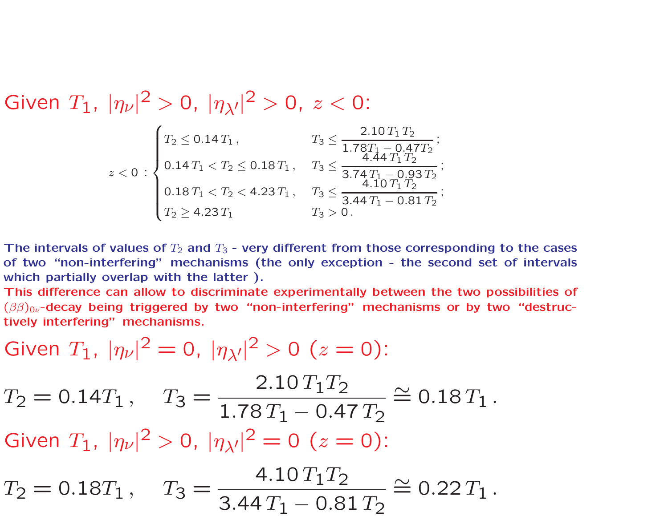Given  $T_1$ ,  $|\eta_{\nu}|^2 > 0$ ,  $|\eta_{\lambda'}|^2 > 0$ ,  $z < 0$ :

$$
z < 0: \begin{cases} T_2 \leq 0.14 \, T_1, & T_3 \leq \frac{2.10 \, T_1 \, T_2}{1.78 \, T_1 - 0.47 \, T_2}; \\ 0.14 \, T_1 < T_2 \leq 0.18 \, T_1, & T_3 \leq \frac{4.44 \, T_1 \, T_2}{3.74 \, T_1 - 0.93 \, T_2}; \\ 0.18 \, T_1 < T_2 < 4.23 \, T_1, & T_3 \leq \frac{4.10 \, T_1 \, T_2}{3.44 \, T_1 - 0.81 \, T_2}; \\ T_2 \geq 4.23 \, T_1 & T_3 > 0. \end{cases}
$$

The intervals of values of  $T_2$  and  $T_3$  - very different from those corresponding to the cases of two "non-interfering" mechanisms (the only exception - the second set of intervals which partially overlap with the latter).

This difference can allow to discriminate experimentally between the two possibilities of  $(\beta\beta)_{0\nu}$ -decay being triggered by two "non-interfering" mechanisms or by two "destructively interfering" mechanisms.

Given 
$$
T_1
$$
,  $|\eta_{\nu}|^2 = 0$ ,  $|\eta_{\lambda\prime}|^2 > 0$  ( $z = 0$ ):  
\n $T_2 = 0.14T_1$ ,  $T_3 = \frac{2.10T_1T_2}{1.78T_1 - 0.47T_2} \approx 0.18T_1$ .  
\nGiven  $T_1$ ,  $|\eta_{\nu}|^2 > 0$ ,  $|\eta_{\lambda\prime}|^2 = 0$  ( $z = 0$ ):  
\n $T_2 = 0.18T_1$ ,  $T_3 = \frac{4.10T_1T_2}{3.44T_1 - 0.81T_2} \approx 0.22T_1$ .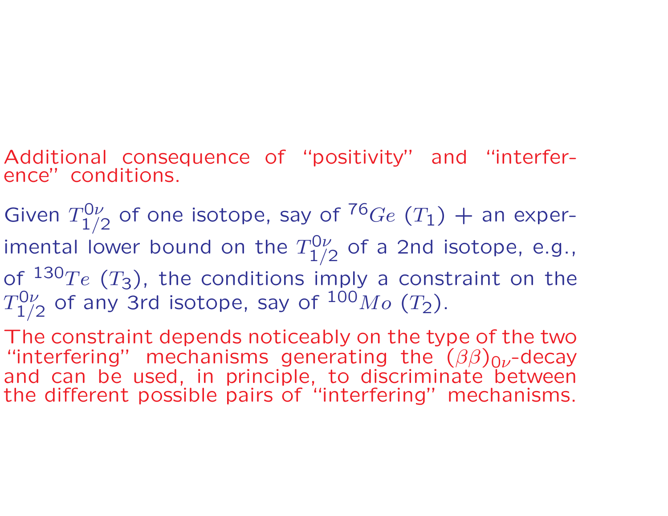- Additional consequence of "positivity" and "interference" conditions.
- Given  $T^{0\nu}_{1\nu}$  $_{1/2}^{\cdot 0\nu}$  of one isotope, say of  $^{76}Ge$   $(T_1)$   $+$  an experimental lower bound on the  $T^{0\nu}_{1\nu}$  $_{1/2}^{\rm{U}\nu}$  of a 2nd isotope, e.g., of  $^{130}Te$   $(T_3)$ , the conditions imply a constraint on the  $T^{0\nu}_{1}$  $_{1/2}^{10\nu}$  of any 3rd isotope, say of  $^{100}Mo$   $(T_2).$
- The constraint depends noticeably on the type of the two "interfering" mechanisms generating the  $(\beta\beta)_{0\nu}$ -decay and can be used, in principle, to discriminate between the different possible pairs of "interfering" mechanisms.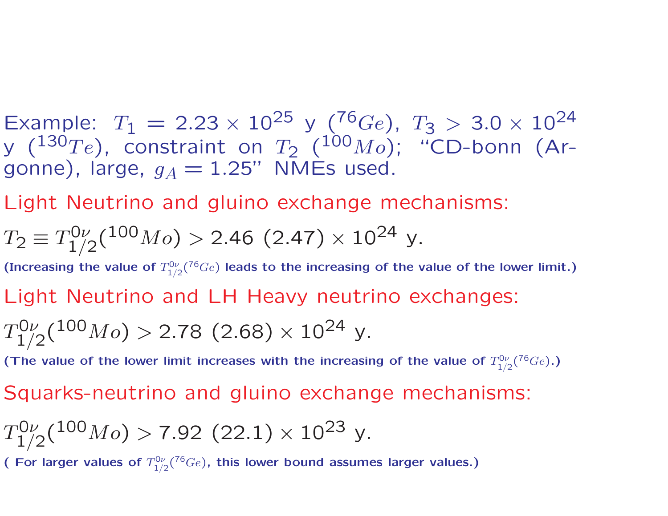Example:  $T_1 = 2.23 \times 10^{25}$  y (<sup>76</sup>Ge),  $T_3 > 3.0 \times 10^{24}$ y ( $^{130}Te$ ), constraint on  $T_2$  ( $^{100}Mo$ ); "CD-bonn (Argonne), large,  $g_A = 1.25$ " NMEs used.

Light Neutrino and gluino exchange mechanisms:

$$
T_2 \equiv T_{1/2}^{0\nu}({}^{100}Mo) > 2.46~(2.47) \times 10^{24}~\text{y}.
$$

(Increasing the value of  $T_{1/2}^{0\nu}({}^{76}Ge)$  leads to the increasing of the value of the lower limit.)

Light Neutrino and LH Heavy neutrino exchanges:

$$
T^{0\nu}_{1/2}(^{100}Mo) > 2.78 \,\, (2.68) \times 10^{24} \,\, \rm{y}.
$$

(The value of the lower limit increases with the increasing of the value of  $T_{1/2}^{0\nu}({}^{76}Ge)$ .)

Squarks-neutrino and gluino exchange mechanisms:

$$
T_{1/2}^{0\nu}(^{100}Mo) > 7.92~(22.1) \times 10^{23}~\mathrm{y}.
$$

( For larger values of  $T_{1/2}^{0\nu}$  ( $76 Ge$ ), this lower bound assumes larger values.)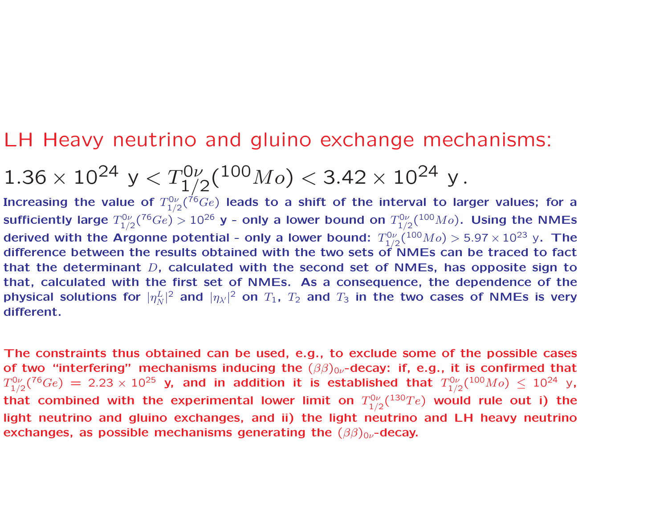### LH Heavy neutrino and gluino exchange mechanisms:

$$
1.36 \times 10^{24} \text{ y} < T_{1/2}^{0\nu}({}^{100}Mo) < 3.42 \times 10^{24} \text{ y}.
$$

Increasing the value of  $T^{0\nu}_{1/2}({}^{76}Ge)$  leads to a shift of the interval to larger values; for a sufficiently large  $T^{0\nu}_{1/2}({}^{76}Ge)>10^{26}$  y - only a lower bound on  $T^{0\nu}_{1/2}({}^{100}Mo).$  Using the NMEs derived with the Argonne potential - only a lower bound:  $T^{0\nu}_{1/2}({}^{100}Mo) > 5.97 \times 10^{23}$  y. The difference between the results obtained with the two sets of NMEs can be traced to fact that the determinant  $D$ , calculated with the second set of NMEs, has opposite sign to that, calculated with the first set of NMEs. As <sup>a</sup> consequence, the dependence of the physical solutions for  $|\eta^L_{\lambda}\rangle$  $\frac{L}{N}|^2$  and  $|\eta_{\lambda'}|^2$  on  $T_1$ ,  $T_2$  and  $T_3$  in the two cases of NMEs is very | different.

The constraints thus obtained can be used, e.g., to exclude some of the possible cases of two "interfering" mechanisms inducing the  $(\beta\beta)_{0\nu}$ -decay: if, e.g., it is confirmed that  $T^{0\nu}_{1/2}({}^{76}Ge)\,=\,2.23\times 10^{25}$  y, and in addition it is established that  $T^{0\nu}_{1/2}({}^{100}Mo)\,\leq\,10^{24}$  y, that combined with the experimental lower limit on  $T^{0\nu}_{1/2}({}^{130}Te)$  would rule out i) the light neutrino and gluino exchanges, and ii) the light neutrino and LH heavy neutrino exchanges, as possible mechanisms generating the  $(\beta\beta)_{0\nu}$ -decay.